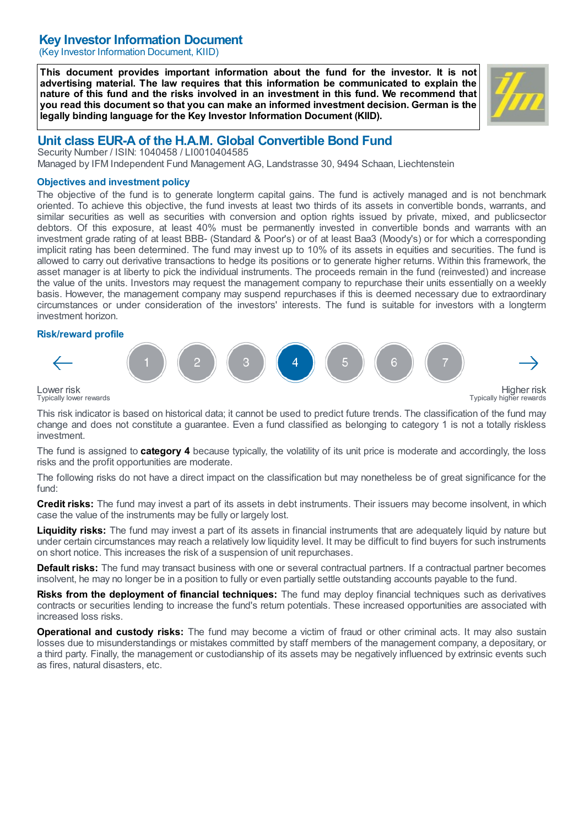# Key Investor Information Document

(Key Investor Information Document, KIID)

This document provides important information about the fund for the investor. It is not advertising material. The law requires that this information be communicated to explain the nature of this fund and the risks involved in an investment in this fund. We recommend that you read this document so that you can make an informed investment decision. German is the legally binding language for the Key Investor Information Document (KIID).



# Unit class EUR-A of the H.A.M. Global Convertible Bond Fund

Security Number / ISIN: 1040458 / LI0010404585 Managed by IFM Independent Fund Management AG, Landstrasse 30, 9494 Schaan, Liechtenstein

#### Objectives and investment policy

The objective of the fund is to generate longterm capital gains. The fund is actively managed and is not benchmark oriented. To achieve this objective, the fund invests at least two thirds of its assets in convertible bonds, warrants, and similar securities as well as securities with conversion and option rights issued by private, mixed, and publicsector debtors. Of this exposure, at least 40% must be permanently invested in convertible bonds and warrants with an investment grade rating of at least BBB- (Standard & Poor's) or of at least Baa3 (Moody's) or for which a corresponding implicit rating has been determined. The fund may invest up to 10% of its assets in equities and securities. The fund is allowed to carry out derivative transactions to hedge its positions or to generate higher returns. Within this framework, the asset manager is at liberty to pick the individual instruments. The proceeds remain in the fund (reinvested) and increase the value of the units. Investors may request the management company to repurchase their units essentially on a weekly basis. However, the management company may suspend repurchases if this is deemed necessary due to extraordinary circumstances or under consideration of the investors' interests. The fund is suitable for investors with a longterm investment horizon.

### Risk/reward profile



Lower risk Typically lower rewards

This risk indicator is based on historical data; it cannot be used to predict future trends. The classification of the fund may change and does not constitute a guarantee. Even a fund classified as belonging to category 1 is not a totally riskless investment.

The fund is assigned to **category 4** because typically, the volatility of its unit price is moderate and accordingly, the loss risks and the profit opportunities are moderate.

The following risks do not have a direct impact on the classification but may nonetheless be of great significance for the fund:

**Credit risks:** The fund may invest a part of its assets in debt instruments. Their issuers may become insolvent, in which case the value of the instruments may be fully or largely lost.

Liquidity risks: The fund may invest a part of its assets in financial instruments that are adequately liquid by nature but under certain circumstances may reach a relatively low liquidity level. It may be difficult to find buyers for such instruments on short notice. This increases the risk of a suspension of unit repurchases.

Default risks: The fund may transact business with one or several contractual partners. If a contractual partner becomes insolvent, he may no longer be in a position to fully or even partially settle outstanding accounts payable to the fund.

Risks from the deployment of financial techniques: The fund may deploy financial techniques such as derivatives contracts or securities lending to increase the fund's return potentials. These increased opportunities are associated with increased loss risks.

Operational and custody risks: The fund may become a victim of fraud or other criminal acts. It may also sustain losses due to misunderstandings or mistakes committed by staff members of the management company, a depositary, or a third party. Finally, the management or custodianship of its assets may be negatively influenced by extrinsic events such as fires, natural disasters, etc.

Higher risk Typically higher rewards